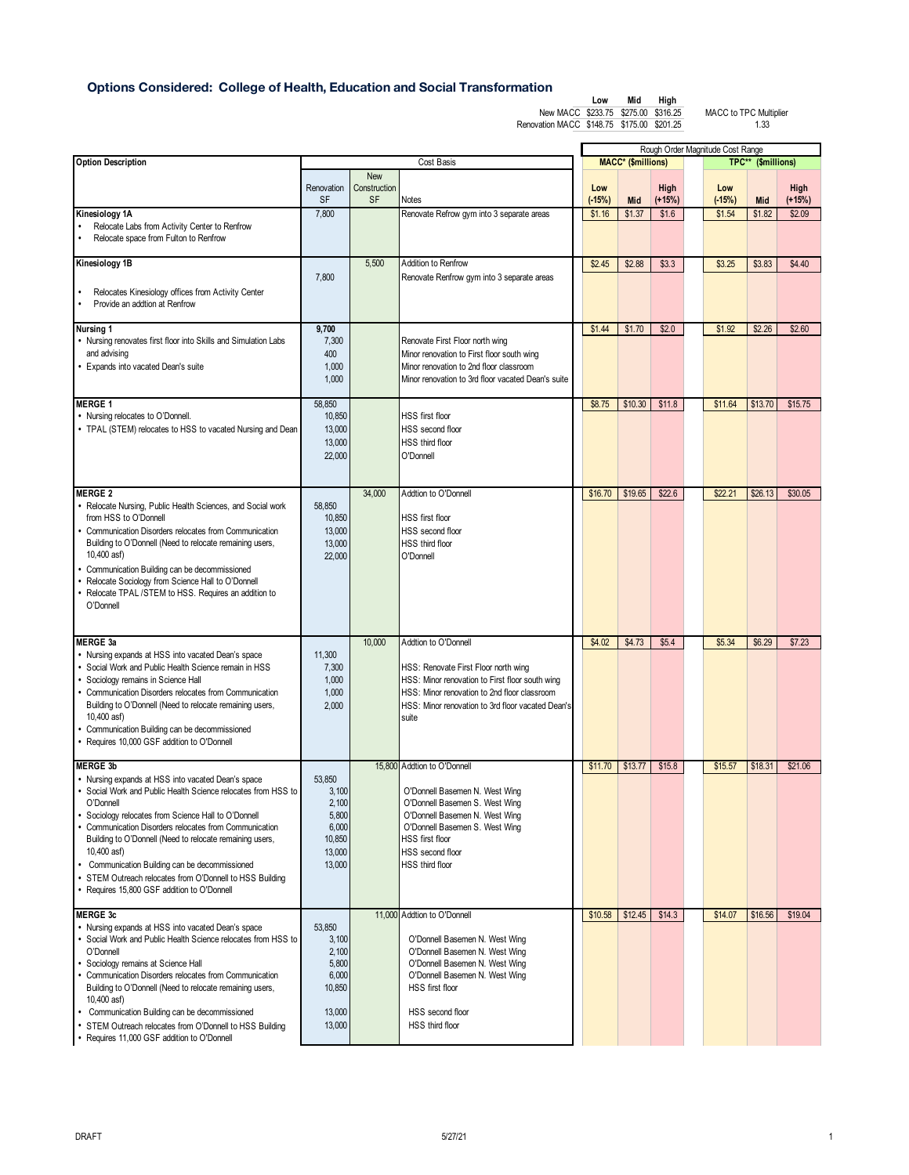## **Options Considered: College of Health, Education and Social Transformation**

|                                            | Low | Mid | Hiah |
|--------------------------------------------|-----|-----|------|
| New MACC \$233.75 \$275.00 \$316.25        |     |     |      |
| Renovation MACC \$148.75 \$175.00 \$201.25 |     |     |      |

|                                                                                                                                                                                                                                                                                                                                                                                                                                                                                                     |                                                                          |                                  |                                                                                                                                                                                                       |  | Rough Order Magnitude Cost Range |                           |                  |  |                 |                    |                  |
|-----------------------------------------------------------------------------------------------------------------------------------------------------------------------------------------------------------------------------------------------------------------------------------------------------------------------------------------------------------------------------------------------------------------------------------------------------------------------------------------------------|--------------------------------------------------------------------------|----------------------------------|-------------------------------------------------------------------------------------------------------------------------------------------------------------------------------------------------------|--|----------------------------------|---------------------------|------------------|--|-----------------|--------------------|------------------|
| <b>Option Description</b>                                                                                                                                                                                                                                                                                                                                                                                                                                                                           | Cost Basis                                                               |                                  |                                                                                                                                                                                                       |  |                                  | <b>MACC*</b> (\$millions) |                  |  |                 | TPC** (\$millions) |                  |
|                                                                                                                                                                                                                                                                                                                                                                                                                                                                                                     | Renovation<br><b>SF</b>                                                  | <b>New</b><br>Construction<br>SF | Notes                                                                                                                                                                                                 |  | Low<br>$(-15%)$                  | Mid                       | High<br>$(+15%)$ |  | Low<br>$(-15%)$ | Mid                | High<br>$(+15%)$ |
| Kinesiology 1A<br>Relocate Labs from Activity Center to Renfrow<br>Relocate space from Fulton to Renfrow                                                                                                                                                                                                                                                                                                                                                                                            | 7,800                                                                    |                                  | Renovate Refrow gym into 3 separate areas                                                                                                                                                             |  | \$1.16                           | \$1.37                    | \$1.6            |  | \$1.54          | \$1.82             | \$2.09           |
| Kinesiology 1B                                                                                                                                                                                                                                                                                                                                                                                                                                                                                      |                                                                          | 5,500                            | Addition to Renfrow                                                                                                                                                                                   |  | \$2.45                           | \$2.88                    | \$3.3            |  | \$3.25          | \$3.83             | \$4.40           |
| Relocates Kinesiology offices from Activity Center<br>Provide an addtion at Renfrow<br>$\bullet$                                                                                                                                                                                                                                                                                                                                                                                                    | 7,800                                                                    |                                  | Renovate Renfrow gym into 3 separate areas                                                                                                                                                            |  |                                  |                           |                  |  |                 |                    |                  |
| Nursing 1<br>• Nursing renovates first floor into Skills and Simulation Labs<br>and advising<br>• Expands into vacated Dean's suite                                                                                                                                                                                                                                                                                                                                                                 | 9,700<br>7,300<br>400<br>1,000<br>1,000                                  |                                  | Renovate First Floor north wing<br>Minor renovation to First floor south wing<br>Minor renovation to 2nd floor classroom<br>Minor renovation to 3rd floor vacated Dean's suite                        |  | \$1.44                           | \$1.70                    | \$2.0            |  | \$1.92          | \$2.26             | \$2.60           |
| <b>MERGE 1</b>                                                                                                                                                                                                                                                                                                                                                                                                                                                                                      | 58,850                                                                   |                                  |                                                                                                                                                                                                       |  | \$8.75                           | \$10.30                   | \$11.8           |  | \$11.64         | \$13.70            | \$15.75          |
| • Nursing relocates to O'Donnell.<br>• TPAL (STEM) relocates to HSS to vacated Nursing and Dean                                                                                                                                                                                                                                                                                                                                                                                                     | 10,850<br>13,000<br>13,000<br>22,000                                     |                                  | <b>HSS</b> first floor<br>HSS second floor<br>HSS third floor<br>O'Donnell                                                                                                                            |  |                                  |                           |                  |  |                 |                    |                  |
| <b>MERGE 2</b>                                                                                                                                                                                                                                                                                                                                                                                                                                                                                      |                                                                          | 34,000                           | Addtion to O'Donnell                                                                                                                                                                                  |  | \$16.70                          | \$19.65                   | \$22.6           |  | \$22.21         | \$26.13            | \$30.05          |
| • Relocate Nursing, Public Health Sciences, and Social work<br>from HSS to O'Donnell<br>Communication Disorders relocates from Communication<br>Building to O'Donnell (Need to relocate remaining users,<br>10,400 asf)<br>• Communication Building can be decommissioned<br>Relocate Sociology from Science Hall to O'Donnell<br>• Relocate TPAL /STEM to HSS. Requires an addition to<br>O'Donnell                                                                                                | 58,850<br>10,850<br>13,000<br>13,000<br>22,000                           |                                  | HSS first floor<br>HSS second floor<br><b>HSS third floor</b><br>O'Donnell                                                                                                                            |  |                                  |                           |                  |  |                 |                    |                  |
| <b>MERGE 3a</b>                                                                                                                                                                                                                                                                                                                                                                                                                                                                                     |                                                                          | 10,000                           | Addtion to O'Donnell                                                                                                                                                                                  |  | \$4.02                           | \$4.73                    | \$5.4            |  | \$5.34          | \$6.29             | \$7.23           |
| • Nursing expands at HSS into vacated Dean's space<br>• Social Work and Public Health Science remain in HSS<br>· Sociology remains in Science Hall<br>• Communication Disorders relocates from Communication<br>Building to O'Donnell (Need to relocate remaining users,<br>10,400 asf)<br>• Communication Building can be decommissioned<br>• Requires 10,000 GSF addition to O'Donnell                                                                                                            | 11,300<br>7,300<br>1,000<br>1,000<br>2,000                               |                                  | HSS: Renovate First Floor north wing<br>HSS: Minor renovation to First floor south wing<br>HSS: Minor renovation to 2nd floor classroom<br>HSS: Minor renovation to 3rd floor vacated Dean's<br>suite |  |                                  |                           |                  |  |                 |                    |                  |
| <b>MERGE 3b</b>                                                                                                                                                                                                                                                                                                                                                                                                                                                                                     |                                                                          |                                  | 15,800 Addtion to O'Donnell                                                                                                                                                                           |  | \$11.70                          | \$13.77                   | \$15.8           |  | \$15.57         | \$18.31            | \$21.06          |
| • Nursing expands at HSS into vacated Dean's space<br>• Social Work and Public Health Science relocates from HSS to<br>O'Donnell<br>Sociology relocates from Science Hall to O'Donnell<br>• Communication Disorders relocates from Communication<br>Building to O'Donnell (Need to relocate remaining users,<br>10,400 asf)<br>Communication Building can be decommissioned<br>$\bullet$<br>• STEM Outreach relocates from O'Donnell to HSS Building<br>• Requires 15,800 GSF addition to O'Donnell | 53,850<br>3,100<br>2,100<br>5,800<br>6,000<br>10,850<br>13,000<br>13,000 |                                  | O'Donnell Basemen N. West Wing<br>O'Donnell Basemen S. West Wing<br>O'Donnell Basemen N. West Wing<br>O'Donnell Basemen S. West Wing<br><b>HSS</b> first floor<br>HSS second floor<br>HSS third floor |  |                                  |                           |                  |  |                 |                    |                  |
| <b>MERGE 3c</b>                                                                                                                                                                                                                                                                                                                                                                                                                                                                                     |                                                                          |                                  | 11,000 Addtion to O'Donnell                                                                                                                                                                           |  | \$10.58                          | \$12.45                   | \$14.3           |  | \$14.07         | \$16.56            | \$19.04          |
| • Nursing expands at HSS into vacated Dean's space<br>• Social Work and Public Health Science relocates from HSS to<br>O'Donnell<br>Sociology remains at Science Hall<br>• Communication Disorders relocates from Communication<br>Building to O'Donnell (Need to relocate remaining users,<br>10,400 asf)<br>Communication Building can be decommissioned<br>• STEM Outreach relocates from O'Donnell to HSS Building                                                                              | 53,850<br>3,100<br>2,100<br>5,800<br>6,000<br>10,850<br>13,000<br>13,000 |                                  | O'Donnell Basemen N. West Wing<br>O'Donnell Basemen N. West Wing<br>O'Donnell Basemen N. West Wing<br>O'Donnell Basemen N. West Wing<br>HSS first floor<br>HSS second floor<br>HSS third floor        |  |                                  |                           |                  |  |                 |                    |                  |
| • Requires 11,000 GSF addition to O'Donnell                                                                                                                                                                                                                                                                                                                                                                                                                                                         |                                                                          |                                  |                                                                                                                                                                                                       |  |                                  |                           |                  |  |                 |                    |                  |